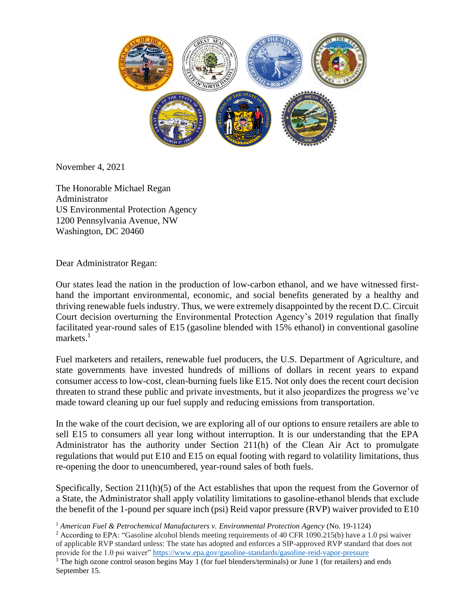

November 4, 2021

The Honorable Michael Regan Administrator US Environmental Protection Agency 1200 Pennsylvania Avenue, NW Washington, DC 20460

Dear Administrator Regan:

Our states lead the nation in the production of low-carbon ethanol, and we have witnessed firsthand the important environmental, economic, and social benefits generated by a healthy and thriving renewable fuels industry. Thus, we were extremely disappointed by the recent D.C. Circuit Court decision overturning the Environmental Protection Agency's 2019 regulation that finally facilitated year-round sales of E15 (gasoline blended with 15% ethanol) in conventional gasoline markets. $<sup>1</sup>$ </sup>

Fuel marketers and retailers, renewable fuel producers, the U.S. Department of Agriculture, and state governments have invested hundreds of millions of dollars in recent years to expand consumer access to low-cost, clean-burning fuels like E15. Not only does the recent court decision threaten to strand these public and private investments, but it also jeopardizes the progress we've made toward cleaning up our fuel supply and reducing emissions from transportation.

In the wake of the court decision, we are exploring all of our options to ensure retailers are able to sell E15 to consumers all year long without interruption. It is our understanding that the EPA Administrator has the authority under Section 211(h) of the Clean Air Act to promulgate regulations that would put E10 and E15 on equal footing with regard to volatility limitations, thus re-opening the door to unencumbered, year-round sales of both fuels.

Specifically, Section 211(h)(5) of the Act establishes that upon the request from the Governor of a State, the Administrator shall apply volatility limitations to gasoline-ethanol blends that exclude the benefit of the 1-pound per square inch (psi) Reid vapor pressure (RVP) waiver provided to E10

<sup>1</sup> *American Fuel & Petrochemical Manufacturers v. Environmental Protection Agency* (No. 19-1124)

<sup>2</sup> According to EPA: "Gasoline alcohol blends meeting requirements of 40 CFR 1090.215(b) have a 1.0 psi waiver of applicable RVP standard unless: The state has adopted and enforces a SIP-approved RVP standard that does not provide for the 1.0 psi waiver"<https://www.epa.gov/gasoline-standards/gasoline-reid-vapor-pressure>

<sup>3</sup> The high ozone control season begins May 1 (for fuel blenders/terminals) or June 1 (for retailers) and ends September 15.